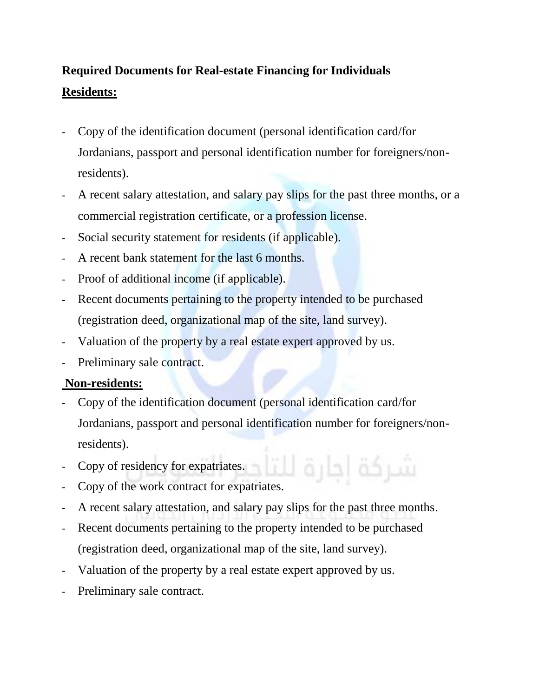## **Required Documents for Real-estate Financing for Individuals Residents:**

- Copy of the identification document (personal identification card/for Jordanians, passport and personal identification number for foreigners/nonresidents).
- A recent salary attestation, and salary pay slips for the past three months, or a commercial registration certificate, or a profession license.
- Social security statement for residents (if applicable).
- A recent bank statement for the last 6 months.
- Proof of additional income (if applicable).
- Recent documents pertaining to the property intended to be purchased (registration deed, organizational map of the site, land survey).
- Valuation of the property by a real estate expert approved by us.
- Preliminary sale contract.

## **Non-residents:**

- Copy of the identification document (personal identification card/for Jordanians, passport and personal identification number for foreigners/nonresidents).
- Copy of residency for expatriates.
- شركة احارة للت Copy of the work contract for expatriates.
- A recent salary attestation, and salary pay slips for the past three months.
- Recent documents pertaining to the property intended to be purchased (registration deed, organizational map of the site, land survey).
- Valuation of the property by a real estate expert approved by us.
- Preliminary sale contract.